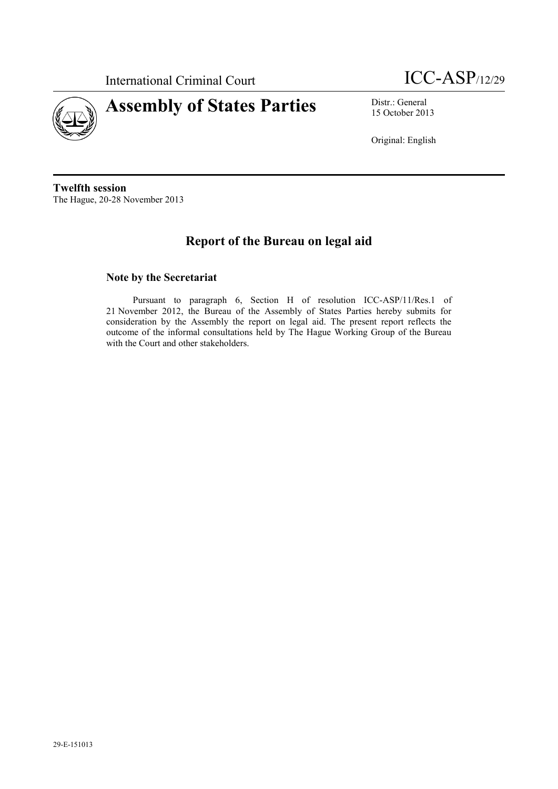

International Criminal Court ICC-ASP/12/29

15 October 2013

Original: English

**Twelfth session** The Hague, 20-28 November 2013

# **Report of the Bureau on legal aid**

### **Note by the Secretariat**

Pursuant to paragraph 6, Section H of resolution ICC-ASP/11/Res.1 of 21 November 2012, the Bureau of the Assembly of States Parties hereby submits for consideration by the Assembly the report on legal aid. The present report reflects the outcome of the informal consultations held by The Hague Working Group of the Bureau with the Court and other stakeholders.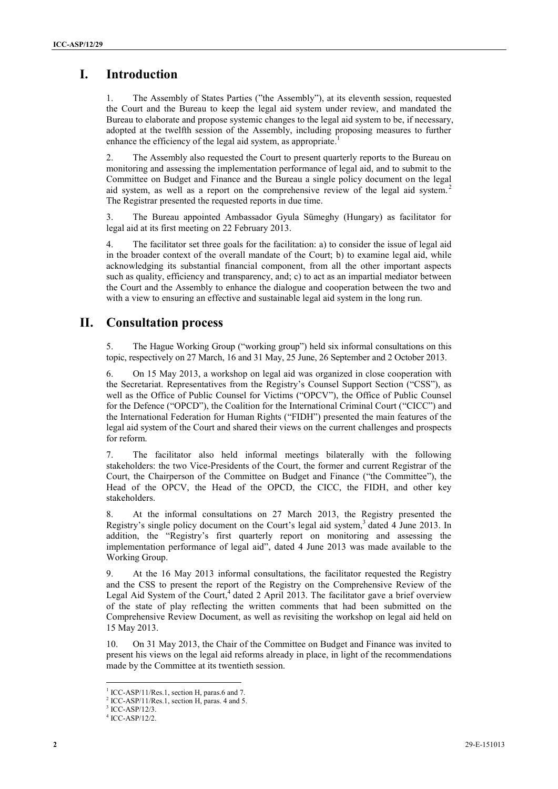# **I. Introduction**

1. The Assembly of States Parties ("the Assembly"), at its eleventh session, requested the Court and the Bureau to keep the legal aid system under review, and mandated the Bureau to elaborate and propose systemic changes to the legal aid system to be, if necessary, adopted at the twelfth session of the Assembly, including proposing measures to further enhance the efficiency of the legal aid system, as appropriate.<sup>1</sup>

2. The Assembly also requested the Court to present quarterly reports to the Bureau on monitoring and assessing the implementation performance of legal aid, and to submit to the Committee on Budget and Finance and the Bureau a single policy document on the legal aid system, as well as a report on the comprehensive review of the legal aid system.<sup>2</sup> The Registrar presented the requested reports in due time.

3. The Bureau appointed Ambassador Gyula Sümeghy (Hungary) as facilitator for legal aid at its first meeting on 22 February 2013.

4. The facilitator set three goals for the facilitation: a) to consider the issue of legal aid in the broader context of the overall mandate of the Court; b) to examine legal aid, while acknowledging its substantial financial component, from all the other important aspects such as quality, efficiency and transparency, and; c) to act as an impartial mediator between the Court and the Assembly to enhance the dialogue and cooperation between the two and with a view to ensuring an effective and sustainable legal aid system in the long run.

# **II. Consultation process**

5. The Hague Working Group ("working group") held six informal consultations on this topic, respectively on 27 March, 16 and 31 May, 25 June, 26 September and 2 October 2013.

6. On 15 May 2013, a workshop on legal aid was organized in close cooperation with the Secretariat. Representatives from the Registry's Counsel Support Section ("CSS"), as well as the Office of Public Counsel for Victims ("OPCV"), the Office of Public Counsel for the Defence ("OPCD"), the Coalition for the International Criminal Court ("CICC") and the International Federation for Human Rights ("FIDH") presented the main features of the legal aid system of the Court and shared their views on the current challenges and prospects for reform.

7. The facilitator also held informal meetings bilaterally with the following stakeholders: the two Vice-Presidents of the Court, the former and current Registrar of the Court, the Chairperson of the Committee on Budget and Finance ("the Committee"), the Head of the OPCV, the Head of the OPCD, the CICC, the FIDH, and other key stakeholders.

8. At the informal consultations on 27 March 2013, the Registry presented the Registry's single policy document on the Court's legal aid system,<sup>3</sup> dated 4 June 2013. In addition, the "Registry's first quarterly report on monitoring and assessing the implementation performance of legal aid", dated 4 June 2013 was made available to the Working Group.

9. At the 16 May 2013 informal consultations, the facilitator requested the Registry and the CSS to present the report of the Registry on the Comprehensive Review of the Legal Aid System of the Court, 4 dated 2 April 2013. The facilitator gave a brief overview of the state of play reflecting the written comments that had been submitted on the Comprehensive Review Document, as well as revisiting the workshop on legal aid held on 15 May 2013.

10. On 31 May 2013, the Chair of the Committee on Budget and Finance was invited to present his views on the legal aid reforms already in place, in light of the recommendations made by the Committee at its twentieth session.

 $\overline{a}$ 

<sup>&</sup>lt;sup>1</sup> ICC-ASP/11/Res.1, section H, paras.6 and 7.

<sup>2</sup> ICC-ASP/11/Res.1, section H, paras. 4 and 5.

<sup>3</sup> ICC-ASP/12/3.

<sup>4</sup> ICC-ASP/12/2.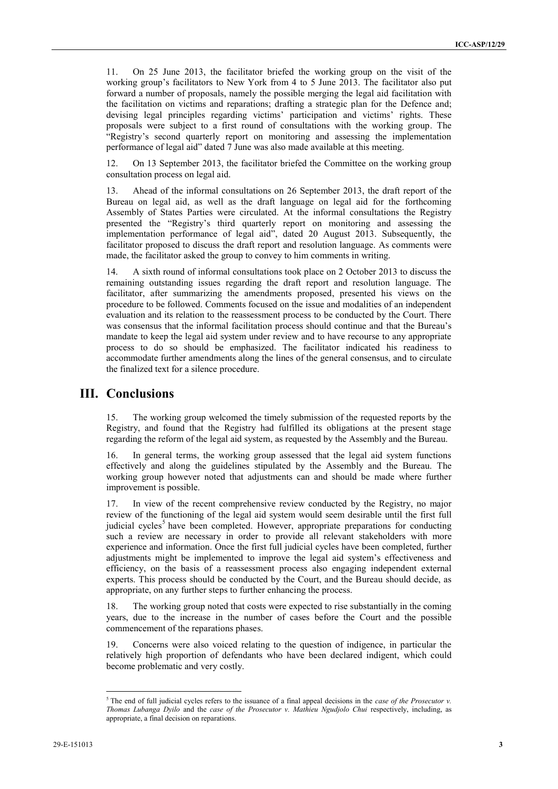11. On 25 June 2013, the facilitator briefed the working group on the visit of the working group's facilitators to New York from 4 to 5 June 2013. The facilitator also put forward a number of proposals, namely the possible merging the legal aid facilitation with the facilitation on victims and reparations; drafting a strategic plan for the Defence and; devising legal principles regarding victims' participation and victims' rights. These proposals were subject to a first round of consultations with the working group. The "Registry's second quarterly report on monitoring and assessing the implementation performance of legal aid" dated 7 June was also made available at this meeting.

12. On 13 September 2013, the facilitator briefed the Committee on the working group consultation process on legal aid.

13. Ahead of the informal consultations on 26 September 2013, the draft report of the Bureau on legal aid, as well as the draft language on legal aid for the forthcoming Assembly of States Parties were circulated. At the informal consultations the Registry presented the "Registry's third quarterly report on monitoring and assessing the implementation performance of legal aid", dated 20 August 2013. Subsequently, the facilitator proposed to discuss the draft report and resolution language. As comments were made, the facilitator asked the group to convey to him comments in writing.

14. A sixth round of informal consultations took place on 2 October 2013 to discuss the remaining outstanding issues regarding the draft report and resolution language. The facilitator, after summarizing the amendments proposed, presented his views on the procedure to be followed. Comments focused on the issue and modalities of an independent evaluation and its relation to the reassessment process to be conducted by the Court. There was consensus that the informal facilitation process should continue and that the Bureau's mandate to keep the legal aid system under review and to have recourse to any appropriate process to do so should be emphasized. The facilitator indicated his readiness to accommodate further amendments along the lines of the general consensus, and to circulate the finalized text for a silence procedure.

#### **III. Conclusions**

15. The working group welcomed the timely submission of the requested reports by the Registry, and found that the Registry had fulfilled its obligations at the present stage regarding the reform of the legal aid system, as requested by the Assembly and the Bureau.

16. In general terms, the working group assessed that the legal aid system functions effectively and along the guidelines stipulated by the Assembly and the Bureau. The working group however noted that adjustments can and should be made where further improvement is possible.

17. In view of the recent comprehensive review conducted by the Registry, no major review of the functioning of the legal aid system would seem desirable until the first full judicial cycles<sup>5</sup> have been completed. However, appropriate preparations for conducting such a review are necessary in order to provide all relevant stakeholders with more experience and information. Once the first full judicial cycles have been completed, further adjustments might be implemented to improve the legal aid system's effectiveness and efficiency, on the basis of a reassessment process also engaging independent external experts. This process should be conducted by the Court, and the Bureau should decide, as appropriate, on any further steps to further enhancing the process.

18. The working group noted that costs were expected to rise substantially in the coming years, due to the increase in the number of cases before the Court and the possible commencement of the reparations phases.

19. Concerns were also voiced relating to the question of indigence, in particular the relatively high proportion of defendants who have been declared indigent, which could become problematic and very costly.

 $\overline{a}$ 

<sup>5</sup> The end of full judicial cycles refers to the issuance of a final appeal decisions in the *case of the Prosecutor v. Thomas Lubanga Dyilo* and the *case of the Prosecutor v. Mathieu Ngudjolo Chui* respectively, including, as appropriate, a final decision on reparations.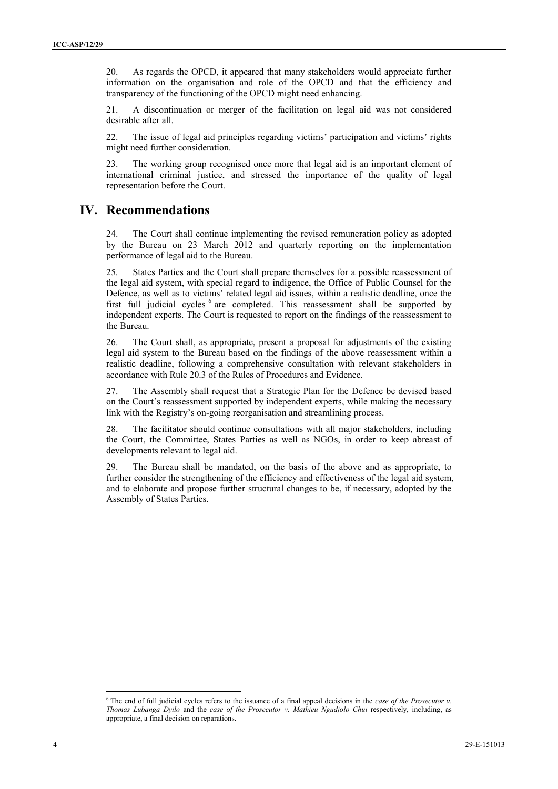20. As regards the OPCD, it appeared that many stakeholders would appreciate further information on the organisation and role of the OPCD and that the efficiency and transparency of the functioning of the OPCD might need enhancing.

21. A discontinuation or merger of the facilitation on legal aid was not considered desirable after all.

22. The issue of legal aid principles regarding victims' participation and victims' rights might need further consideration.

23. The working group recognised once more that legal aid is an important element of international criminal justice, and stressed the importance of the quality of legal representation before the Court.

## **IV. Recommendations**

24. The Court shall continue implementing the revised remuneration policy as adopted by the Bureau on 23 March 2012 and quarterly reporting on the implementation performance of legal aid to the Bureau.

25. States Parties and the Court shall prepare themselves for a possible reassessment of the legal aid system, with special regard to indigence, the Office of Public Counsel for the Defence, as well as to victims' related legal aid issues, within a realistic deadline, once the first full judicial cycles <sup>6</sup> are completed. This reassessment shall be supported by independent experts. The Court is requested to report on the findings of the reassessment to the Bureau.

26. The Court shall, as appropriate, present a proposal for adjustments of the existing legal aid system to the Bureau based on the findings of the above reassessment within a realistic deadline, following a comprehensive consultation with relevant stakeholders in accordance with Rule 20.3 of the Rules of Procedures and Evidence.

27. The Assembly shall request that a Strategic Plan for the Defence be devised based on the Court's reassessment supported by independent experts, while making the necessary link with the Registry's on-going reorganisation and streamlining process.

28. The facilitator should continue consultations with all major stakeholders, including the Court, the Committee, States Parties as well as NGOs, in order to keep abreast of developments relevant to legal aid.

29. The Bureau shall be mandated, on the basis of the above and as appropriate, to further consider the strengthening of the efficiency and effectiveness of the legal aid system, and to elaborate and propose further structural changes to be, if necessary, adopted by the Assembly of States Parties.

 $\overline{a}$ <sup>6</sup> The end of full judicial cycles refers to the issuance of a final appeal decisions in the *case of the Prosecutor v. Thomas Lubanga Dyilo* and the *case of the Prosecutor v. Mathieu Ngudjolo Chui* respectively, including, as appropriate, a final decision on reparations.